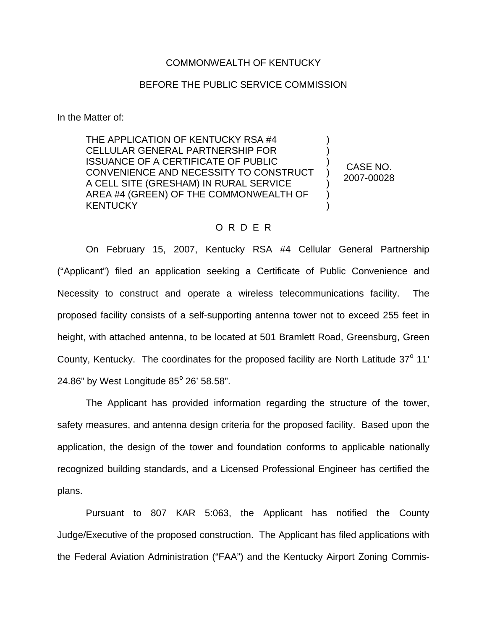## COMMONWEALTH OF KENTUCKY

## BEFORE THE PUBLIC SERVICE COMMISSION

In the Matter of:

THE APPLICATION OF KENTUCKY RSA #4 CELLULAR GENERAL PARTNERSHIP FOR ISSUANCE OF A CERTIFICATE OF PUBLIC CONVENIENCE AND NECESSITY TO CONSTRUCT A CELL SITE (GRESHAM) IN RURAL SERVICE AREA #4 (GREEN) OF THE COMMONWEALTH OF **KENTUCKY** ) ) ) ) ) ) )

CASE NO. 2007-00028

## O R D E R

On February 15, 2007, Kentucky RSA #4 Cellular General Partnership ("Applicant") filed an application seeking a Certificate of Public Convenience and Necessity to construct and operate a wireless telecommunications facility. The proposed facility consists of a self-supporting antenna tower not to exceed 255 feet in height, with attached antenna, to be located at 501 Bramlett Road, Greensburg, Green County, Kentucky. The coordinates for the proposed facility are North Latitude 37° 11' 24.86" by West Longitude  $85^{\circ}$  26' 58.58".

The Applicant has provided information regarding the structure of the tower, safety measures, and antenna design criteria for the proposed facility. Based upon the application, the design of the tower and foundation conforms to applicable nationally recognized building standards, and a Licensed Professional Engineer has certified the plans.

Pursuant to 807 KAR 5:063, the Applicant has notified the County Judge/Executive of the proposed construction. The Applicant has filed applications with the Federal Aviation Administration ("FAA") and the Kentucky Airport Zoning Commis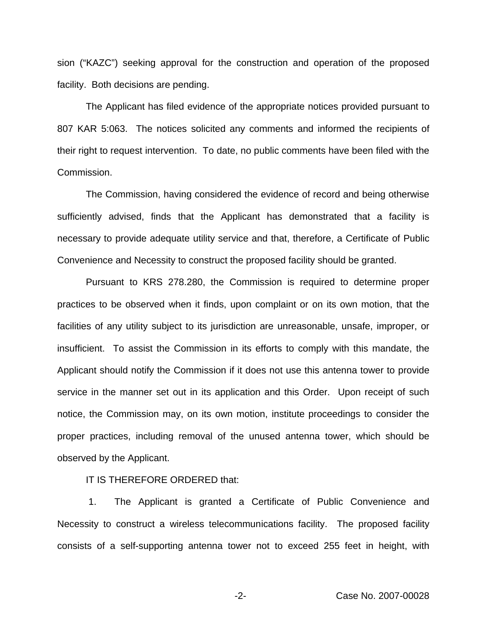sion ("KAZC") seeking approval for the construction and operation of the proposed facility. Both decisions are pending.

The Applicant has filed evidence of the appropriate notices provided pursuant to 807 KAR 5:063. The notices solicited any comments and informed the recipients of their right to request intervention. To date, no public comments have been filed with the Commission.

The Commission, having considered the evidence of record and being otherwise sufficiently advised, finds that the Applicant has demonstrated that a facility is necessary to provide adequate utility service and that, therefore, a Certificate of Public Convenience and Necessity to construct the proposed facility should be granted.

Pursuant to KRS 278.280, the Commission is required to determine proper practices to be observed when it finds, upon complaint or on its own motion, that the facilities of any utility subject to its jurisdiction are unreasonable, unsafe, improper, or insufficient. To assist the Commission in its efforts to comply with this mandate, the Applicant should notify the Commission if it does not use this antenna tower to provide service in the manner set out in its application and this Order. Upon receipt of such notice, the Commission may, on its own motion, institute proceedings to consider the proper practices, including removal of the unused antenna tower, which should be observed by the Applicant.

IT IS THEREFORE ORDERED that:

1. The Applicant is granted a Certificate of Public Convenience and Necessity to construct a wireless telecommunications facility. The proposed facility consists of a self-supporting antenna tower not to exceed 255 feet in height, with

-2- Case No. 2007-00028